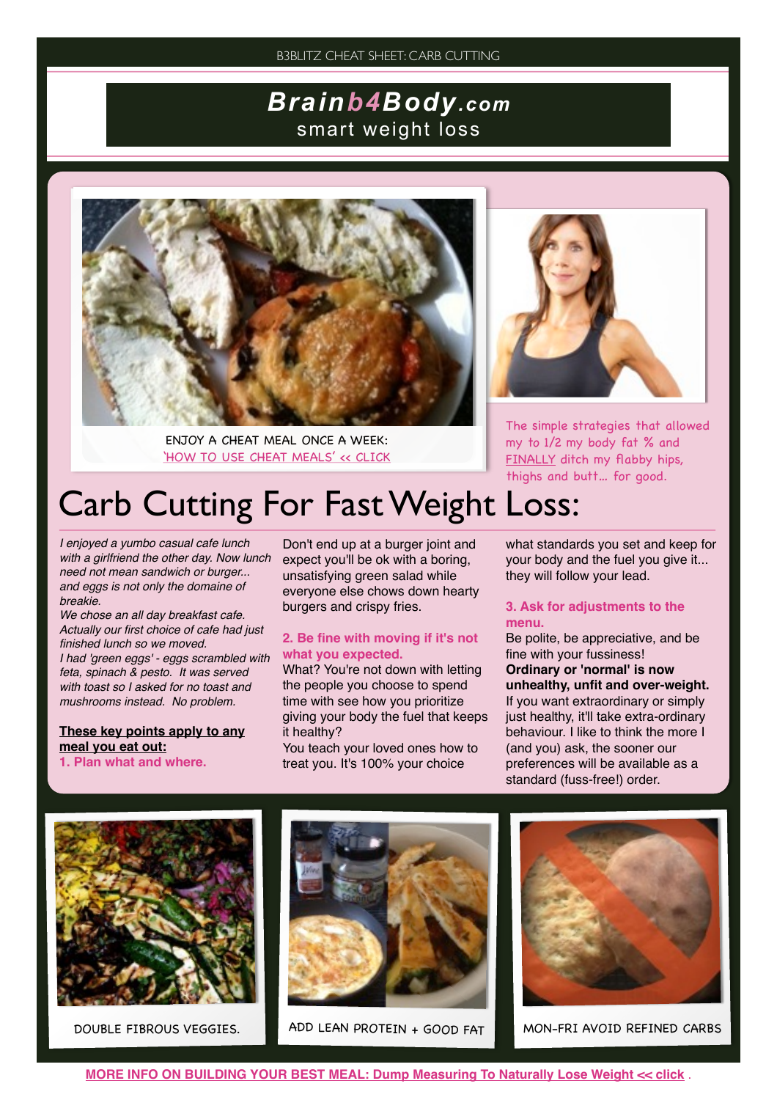## *Brainb4Body.com* smart weight loss



ENJOY A CHEAT MEAL ONCE A WEEK: ['HOW TO USE CHEAT MEALS' << CLICK](http://www.brainb4body.com/how-to-use-cheat-meals-thrive-regardless-of-the-temptation-zone/)



The simple strategies that allowed my to 1/2 my body fat % and FINALLY ditch my flabby hips, thighs and butt… for good.

# Carb Cutting For Fast Weight Loss:

*I enjoyed a yumbo casual cafe lunch with a girlfriend the other day. Now lunch need not mean sandwich or burger... and eggs is not only the domaine of breakie.*

*We chose an all day breakfast cafe. Actually our first choice of cafe had just finished lunch so we moved. I had 'green eggs' - eggs scrambled with feta, spinach & pesto. It was served with toast so I asked for no toast and mushrooms instead. No problem.*

#### **These key points apply to any meal you eat out:**

**1. Plan what and where.**

Don't end up at a burger joint and expect you'll be ok with a boring, unsatisfying green salad while everyone else chows down hearty burgers and crispy fries.

#### **2. Be fine with moving if it's not what you expected.**

What? You're not down with letting the people you choose to spend time with see how you prioritize giving your body the fuel that keeps it healthy?

You teach your loved ones how to treat you. It's 100% your choice

what standards you set and keep for your body and the fuel you give it... they will follow your lead.

#### **3. Ask for adjustments to the menu.**

Be polite, be appreciative, and be fine with your fussiness! **Ordinary or 'normal' is now unhealthy, unfit and over-weight.**  If you want extraordinary or simply just healthy, it'll take extra-ordinary behaviour. I like to think the more I (and you) ask, the sooner our preferences will be available as a standard (fuss-free!) order.







DOUBLE FIBROUS VEGGIES. ADD LEAN PROTEIN + GOOD FAT MON-FRI AVOID REFINED CARBS